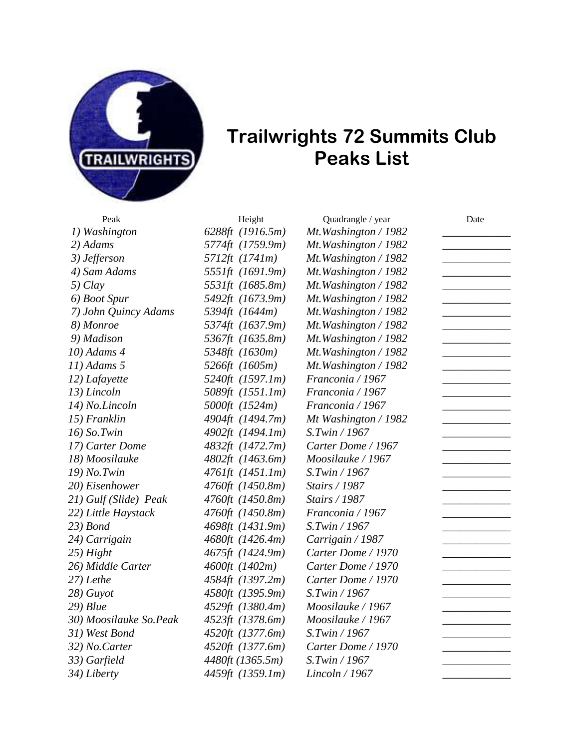

## **Trailwrights 72 Summits Club Peaks List**

*1) Washington 6288ft (1916.5m) Mt.Washington / 1982 \_\_\_\_\_\_\_\_\_\_\_\_ 2) Adams 5774ft (1759.9m) Mt.Washington / 1982 \_\_\_\_\_\_\_\_\_\_\_\_ 3) Jefferson 5712ft (1741m) Mt.Washington / 1982 \_\_\_\_\_\_\_\_\_\_\_\_ 4) Sam Adams 5551ft (1691.9m) Mt.Washington / 1982 \_\_\_\_\_\_\_\_\_\_\_\_ 5) Clay 5531ft (1685.8m) Mt.Washington / 1982 \_\_\_\_\_\_\_\_\_\_\_\_ 6) Boot Spur 5492ft (1673.9m) Mt.Washington / 1982 \_\_\_\_\_\_\_\_\_\_\_\_ 7) John Quincy Adams 5394ft (1644m) Mt.Washington / 1982 \_\_\_\_\_\_\_\_\_\_\_\_ 8) Monroe 5374ft (1637.9m) Mt.Washington / 1982 \_\_\_\_\_\_\_\_\_\_\_\_ 9) Madison 5367ft (1635.8m) Mt.Washington / 1982 \_\_\_\_\_\_\_\_\_\_\_\_ 10) Adams 4 5348ft (1630m) Mt.Washington / 1982 \_\_\_\_\_\_\_\_\_\_\_\_ 11) Adams 5 5266ft (1605m) Mt.Washington / 1982 \_\_\_\_\_\_\_\_\_\_\_\_ 12) Lafayette 5240ft (1597.1m) Franconia / 1967 \_\_\_\_\_\_\_\_\_\_\_\_ 13) Lincoln 5089ft (1551.1m) Franconia / 1967 \_\_\_\_\_\_\_\_\_\_\_\_ 14) No.Lincoln 5000ft (1524m) Franconia / 1967 \_\_\_\_\_\_\_\_\_\_\_\_ 15) Franklin 4904ft (1494.7m) Mt Washington / 1982 \_\_\_\_\_\_\_\_\_\_\_\_ 16) So.Twin 4902ft (1494.1m) S.Twin / 1967 \_\_\_\_\_\_\_\_\_\_\_\_ 17) Carter Dome 4832ft (1472.7m) Carter Dome / 1967 \_\_\_\_\_\_\_\_\_\_\_\_ 18) Moosilauke 4802ft (1463.6m) Moosilauke / 1967 \_\_\_\_\_\_\_\_\_\_\_\_ 19) No.Twin 4761ft (1451.1m) S.Twin / 1967 \_\_\_\_\_\_\_\_\_\_\_\_ 20) Eisenhower 4760ft (1450.8m) Stairs / 1987 \_\_\_\_\_\_\_\_\_\_\_\_ 21) Gulf (Slide) Peak 4760ft (1450.8m) Stairs / 1987 \_\_\_\_\_\_\_\_\_\_\_\_ 22) Little Haystack 4760ft (1450.8m) Franconia / 1967 \_\_\_\_\_\_\_\_\_\_\_\_ 23) Bond 4698ft (1431.9m) S.Twin / 1967 \_\_\_\_\_\_\_\_\_\_\_\_ 24) Carrigain 4680ft (1426.4m) Carrigain / 1987 \_\_\_\_\_\_\_\_\_\_\_\_ 25) Hight 4675ft (1424.9m) Carter Dome / 1970 \_\_\_\_\_\_\_\_\_\_\_\_ 26) Middle Carter 4600ft (1402m) Carter Dome / 1970 \_\_\_\_\_\_\_\_\_\_\_\_ 27) Lethe 4584ft (1397.2m) Carter Dome / 1970 \_\_\_\_\_\_\_\_\_\_\_\_ 28) Guyot 4580ft (1395.9m) S.Twin / 1967 \_\_\_\_\_\_\_\_\_\_\_\_ 29) Blue 4529ft (1380.4m) Moosilauke / 1967 \_\_\_\_\_\_\_\_\_\_\_\_ 30) Moosilauke So.Peak 4523ft (1378.6m) Moosilauke / 1967 \_\_\_\_\_\_\_\_\_\_\_\_ 31) West Bond 4520ft (1377.6m) S.Twin / 1967 \_\_\_\_\_\_\_\_\_\_\_\_ 32) No.Carter 4520ft (1377.6m) Carter Dome / 1970 \_\_\_\_\_\_\_\_\_\_\_\_ 33) Garfield 4480ft (1365.5m) S.Twin / 1967 \_\_\_\_\_\_\_\_\_\_\_\_*

*34) Liberty 4459ft (1359.1m) Lincoln / 1967 \_\_\_\_\_\_\_\_\_\_\_\_*

Peak **Height** Quadrangle / year Date